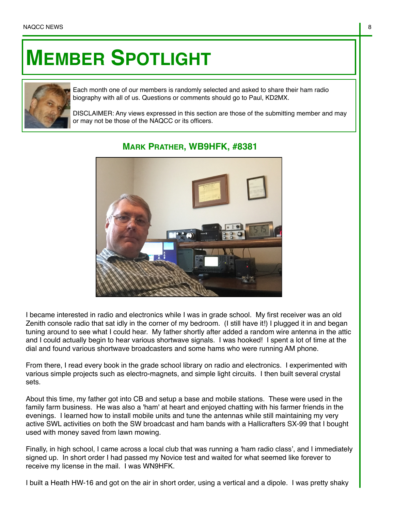## **MEMBER SPOTLIGHT**



Each month one of our members is randomly selected and asked to share their ham radio biography with all of us. Questions or comments should go to Paul, KD2MX.

DISCLAIMER: Any views expressed in this section are those of the submitting member and may or may not be those of the NAQCC or its officers.



## **MARK PRATHER, WB9HFK, #8381**

I became interested in radio and electronics while I was in grade school. My first receiver was an old Zenith console radio that sat idly in the corner of my bedroom. (I still have it!) I plugged it in and began tuning around to see what I could hear. My father shortly after added a random wire antenna in the attic and I could actually begin to hear various shortwave signals. I was hooked! I spent a lot of time at the dial and found various shortwave broadcasters and some hams who were running AM phone.

From there, I read every book in the grade school library on radio and electronics. I experimented with various simple projects such as electro-magnets, and simple light circuits. I then built several crystal sets.

About this time, my father got into CB and setup a base and mobile stations. These were used in the family farm business. He was also a 'ham' at heart and enjoyed chatting with his farmer friends in the evenings. I learned how to install mobile units and tune the antennas while still maintaining my very active SWL activities on both the SW broadcast and ham bands with a Hallicrafters SX-99 that I bought used with money saved from lawn mowing.

Finally, in high school, I came across a local club that was running a 'ham radio class', and I immediately signed up. In short order I had passed my Novice test and waited for what seemed like forever to receive my license in the mail. I was WN9HFK.

I built a Heath HW-16 and got on the air in short order, using a vertical and a dipole. I was pretty shaky